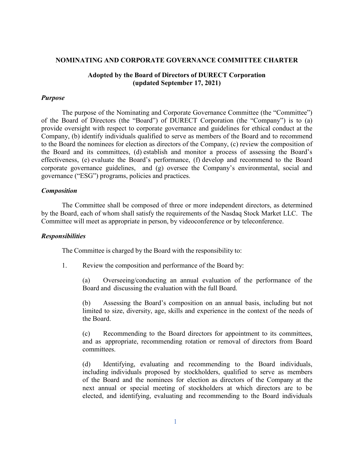#### **NOMINATING AND CORPORATE GOVERNANCE COMMITTEE CHARTER**

## **Adopted by the Board of Directors of DURECT Corporation (updated September 17, 2021)**

### *Purpose*

The purpose of the Nominating and Corporate Governance Committee (the "Committee") of the Board of Directors (the "Board") of DURECT Corporation (the "Company") is to (a) provide oversight with respect to corporate governance and guidelines for ethical conduct at the Company, (b) identify individuals qualified to serve as members of the Board and to recommend to the Board the nominees for election as directors of the Company, (c) review the composition of the Board and its committees, (d) establish and monitor a process of assessing the Board's effectiveness, (e) evaluate the Board's performance, (f) develop and recommend to the Board corporate governance guidelines, and (g) oversee the Company's environmental, social and governance ("ESG") programs, policies and practices.

### *Composition*

The Committee shall be composed of three or more independent directors, as determined by the Board, each of whom shall satisfy the requirements of the Nasdaq Stock Market LLC. The Committee will meet as appropriate in person, by videoconference or by teleconference.

#### *Responsibilities*

The Committee is charged by the Board with the responsibility to:

1. Review the composition and performance of the Board by:

(a) Overseeing/conducting an annual evaluation of the performance of the Board and discussing the evaluation with the full Board.

(b) Assessing the Board's composition on an annual basis, including but not limited to size, diversity, age, skills and experience in the context of the needs of the Board.

(c) Recommending to the Board directors for appointment to its committees, and as appropriate, recommending rotation or removal of directors from Board committees.

(d) Identifying, evaluating and recommending to the Board individuals, including individuals proposed by stockholders, qualified to serve as members of the Board and the nominees for election as directors of the Company at the next annual or special meeting of stockholders at which directors are to be elected, and identifying, evaluating and recommending to the Board individuals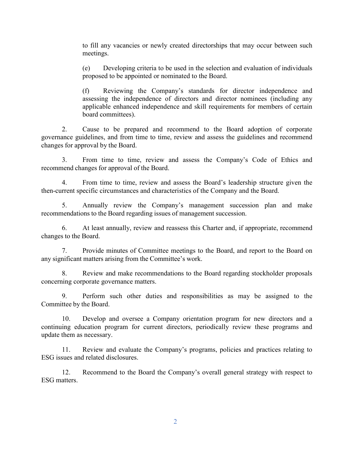to fill any vacancies or newly created directorships that may occur between such meetings.

(e) Developing criteria to be used in the selection and evaluation of individuals proposed to be appointed or nominated to the Board.

(f) Reviewing the Company's standards for director independence and assessing the independence of directors and director nominees (including any applicable enhanced independence and skill requirements for members of certain board committees).

2. Cause to be prepared and recommend to the Board adoption of corporate governance guidelines, and from time to time, review and assess the guidelines and recommend changes for approval by the Board.

3. From time to time, review and assess the Company's Code of Ethics and recommend changes for approval of the Board.

4. From time to time, review and assess the Board's leadership structure given the then-current specific circumstances and characteristics of the Company and the Board.

5. Annually review the Company's management succession plan and make recommendations to the Board regarding issues of management succession.

6. At least annually, review and reassess this Charter and, if appropriate, recommend changes to the Board.

7. Provide minutes of Committee meetings to the Board, and report to the Board on any significant matters arising from the Committee's work.

8. Review and make recommendations to the Board regarding stockholder proposals concerning corporate governance matters.

9. Perform such other duties and responsibilities as may be assigned to the Committee by the Board.

10. Develop and oversee a Company orientation program for new directors and a continuing education program for current directors, periodically review these programs and update them as necessary.

11. Review and evaluate the Company's programs, policies and practices relating to ESG issues and related disclosures.

12. Recommend to the Board the Company's overall general strategy with respect to ESG matters.